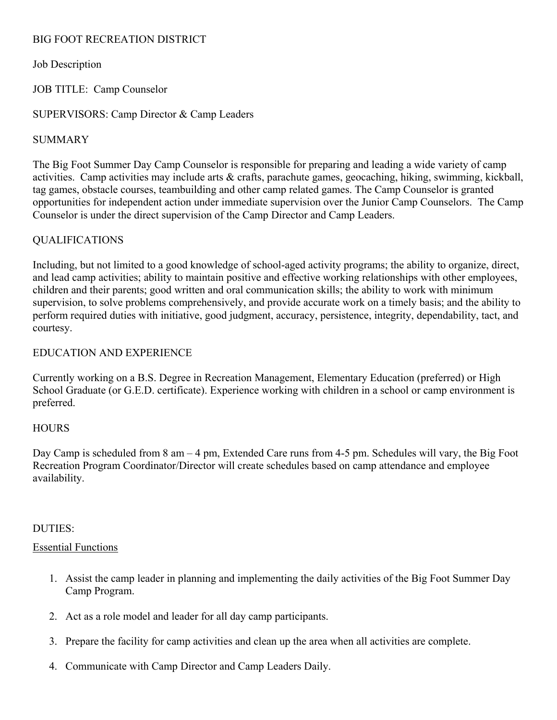# BIG FOOT RECREATION DISTRICT

## Job Description

## JOB TITLE: Camp Counselor

#### SUPERVISORS: Camp Director & Camp Leaders

## SUMMARY

The Big Foot Summer Day Camp Counselor is responsible for preparing and leading a wide variety of camp activities. Camp activities may include arts & crafts, parachute games, geocaching, hiking, swimming, kickball, tag games, obstacle courses, teambuilding and other camp related games. The Camp Counselor is granted opportunities for independent action under immediate supervision over the Junior Camp Counselors. The Camp Counselor is under the direct supervision of the Camp Director and Camp Leaders.

# QUALIFICATIONS

Including, but not limited to a good knowledge of school-aged activity programs; the ability to organize, direct, and lead camp activities; ability to maintain positive and effective working relationships with other employees, children and their parents; good written and oral communication skills; the ability to work with minimum supervision, to solve problems comprehensively, and provide accurate work on a timely basis; and the ability to perform required duties with initiative, good judgment, accuracy, persistence, integrity, dependability, tact, and courtesy.

# EDUCATION AND EXPERIENCE

Currently working on a B.S. Degree in Recreation Management, Elementary Education (preferred) or High School Graduate (or G.E.D. certificate). Experience working with children in a school or camp environment is preferred.

#### **HOURS**

Day Camp is scheduled from 8 am – 4 pm, Extended Care runs from 4-5 pm. Schedules will vary, the Big Foot Recreation Program Coordinator/Director will create schedules based on camp attendance and employee availability.

#### DUTIES:

#### Essential Functions

- 1. Assist the camp leader in planning and implementing the daily activities of the Big Foot Summer Day Camp Program.
- 2. Act as a role model and leader for all day camp participants.
- 3. Prepare the facility for camp activities and clean up the area when all activities are complete.
- 4. Communicate with Camp Director and Camp Leaders Daily.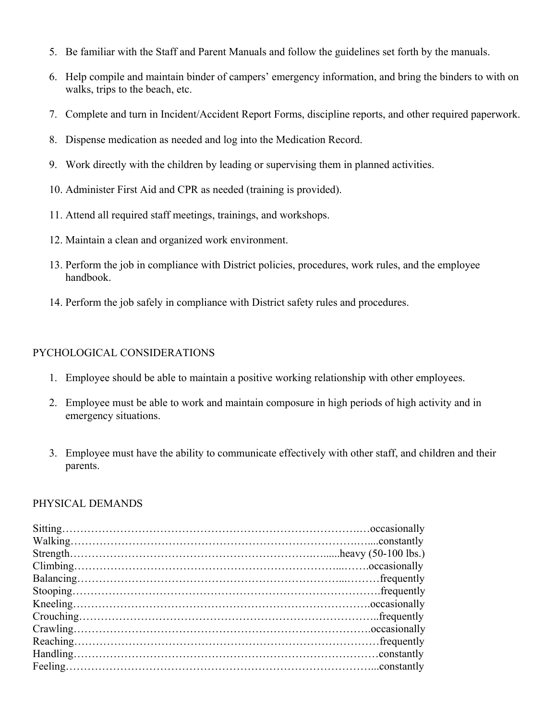- 5. Be familiar with the Staff and Parent Manuals and follow the guidelines set forth by the manuals.
- 6. Help compile and maintain binder of campers' emergency information, and bring the binders to with on walks, trips to the beach, etc.
- 7. Complete and turn in Incident/Accident Report Forms, discipline reports, and other required paperwork.
- 8. Dispense medication as needed and log into the Medication Record.
- 9. Work directly with the children by leading or supervising them in planned activities.
- 10. Administer First Aid and CPR as needed (training is provided).
- 11. Attend all required staff meetings, trainings, and workshops.
- 12. Maintain a clean and organized work environment.
- 13. Perform the job in compliance with District policies, procedures, work rules, and the employee handbook.
- 14. Perform the job safely in compliance with District safety rules and procedures.

#### PYCHOLOGICAL CONSIDERATIONS

- 1. Employee should be able to maintain a positive working relationship with other employees.
- 2. Employee must be able to work and maintain composure in high periods of high activity and in emergency situations.
- 3. Employee must have the ability to communicate effectively with other staff, and children and their parents.

#### PHYSICAL DEMANDS